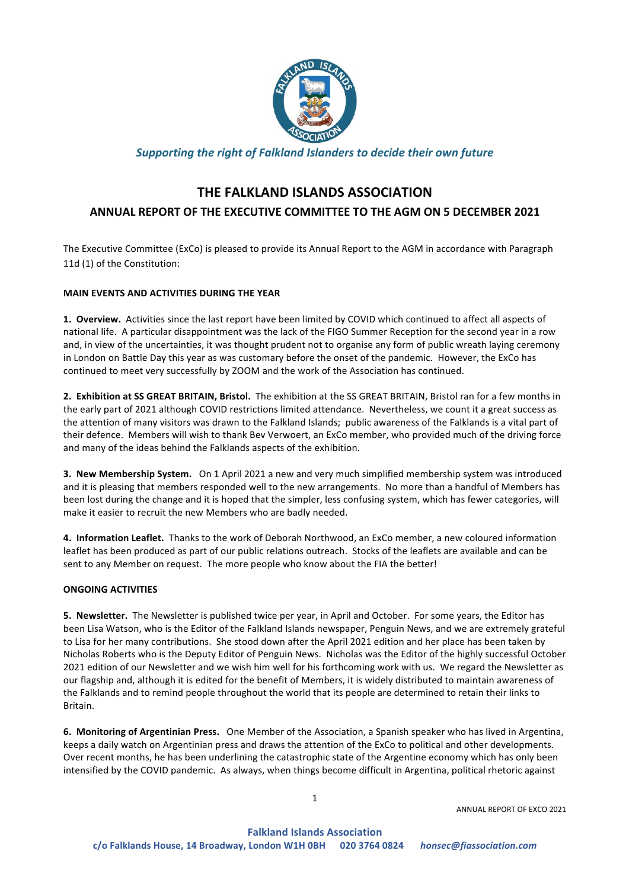

## **Supporting the right of Falkland Islanders to decide their own future**

# **THE FALKLAND ISLANDS ASSOCIATION ANNUAL REPORT OF THE EXECUTIVE COMMITTEE TO THE AGM ON 5 DECEMBER 2021**

The Executive Committee (ExCo) is pleased to provide its Annual Report to the AGM in accordance with Paragraph 11d (1) of the Constitution:

### **MAIN EVENTS AND ACTIVITIES DURING THE YEAR**

1. Overview. Activities since the last report have been limited by COVID which continued to affect all aspects of national life. A particular disappointment was the lack of the FIGO Summer Reception for the second year in a row and, in view of the uncertainties, it was thought prudent not to organise any form of public wreath laying ceremony in London on Battle Day this year as was customary before the onset of the pandemic. However, the ExCo has continued to meet very successfully by ZOOM and the work of the Association has continued.

2. Exhibition at SS GREAT BRITAIN, Bristol. The exhibition at the SS GREAT BRITAIN, Bristol ran for a few months in the early part of 2021 although COVID restrictions limited attendance. Nevertheless, we count it a great success as the attention of many visitors was drawn to the Falkland Islands; public awareness of the Falklands is a vital part of their defence. Members will wish to thank Bev Verwoert, an ExCo member, who provided much of the driving force and many of the ideas behind the Falklands aspects of the exhibition.

**3. New Membership System.** On 1 April 2021 a new and very much simplified membership system was introduced and it is pleasing that members responded well to the new arrangements. No more than a handful of Members has been lost during the change and it is hoped that the simpler, less confusing system, which has fewer categories, will make it easier to recruit the new Members who are badly needed.

**4. Information Leaflet.** Thanks to the work of Deborah Northwood, an ExCo member, a new coloured information leaflet has been produced as part of our public relations outreach. Stocks of the leaflets are available and can be sent to any Member on request. The more people who know about the FIA the better!

#### **ONGOING ACTIVITIES**

**5. Newsletter.** The Newsletter is published twice per year, in April and October. For some years, the Editor has been Lisa Watson, who is the Editor of the Falkland Islands newspaper, Penguin News, and we are extremely grateful to Lisa for her many contributions. She stood down after the April 2021 edition and her place has been taken by Nicholas Roberts who is the Deputy Editor of Penguin News. Nicholas was the Editor of the highly successful October 2021 edition of our Newsletter and we wish him well for his forthcoming work with us. We regard the Newsletter as our flagship and, although it is edited for the benefit of Members, it is widely distributed to maintain awareness of the Falklands and to remind people throughout the world that its people are determined to retain their links to Britain.

**6. Monitoring of Argentinian Press.** One Member of the Association, a Spanish speaker who has lived in Argentina, keeps a daily watch on Argentinian press and draws the attention of the ExCo to political and other developments. Over recent months, he has been underlining the catastrophic state of the Argentine economy which has only been intensified by the COVID pandemic. As always, when things become difficult in Argentina, political rhetoric against

ANNUAL REPORT OF EXCO 2021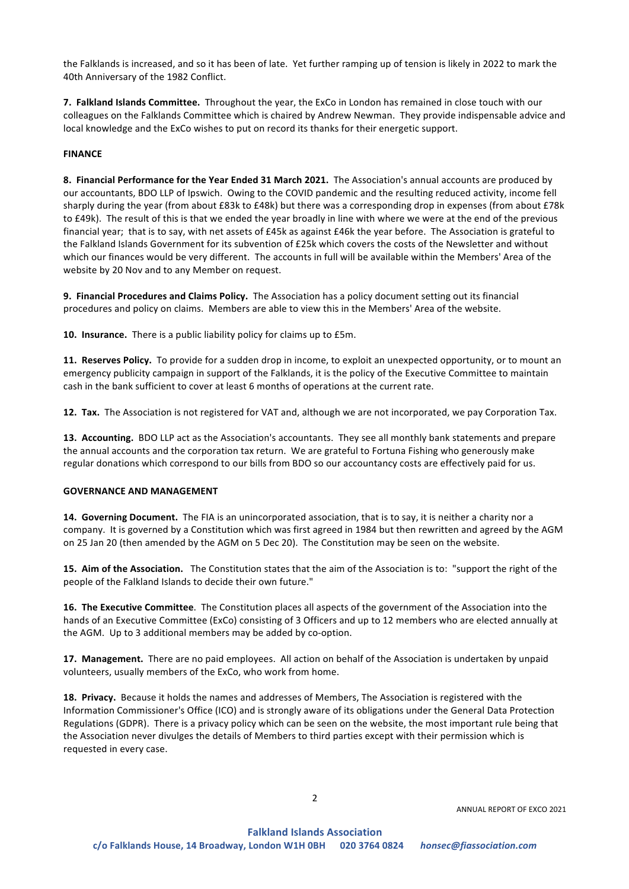the Falklands is increased, and so it has been of late. Yet further ramping up of tension is likely in 2022 to mark the 40th Anniversary of the 1982 Conflict.

**7. Falkland Islands Committee.** Throughout the year, the ExCo in London has remained in close touch with our colleagues on the Falklands Committee which is chaired by Andrew Newman. They provide indispensable advice and local knowledge and the ExCo wishes to put on record its thanks for their energetic support.

#### **FINANCE**

**8. Financial Performance for the Year Ended 31 March 2021.** The Association's annual accounts are produced by our accountants, BDO LLP of Ipswich. Owing to the COVID pandemic and the resulting reduced activity, income fell sharply during the year (from about £83k to £48k) but there was a corresponding drop in expenses (from about £78k to £49k). The result of this is that we ended the year broadly in line with where we were at the end of the previous financial year; that is to say, with net assets of £45k as against £46k the year before. The Association is grateful to the Falkland Islands Government for its subvention of £25k which covers the costs of the Newsletter and without which our finances would be very different. The accounts in full will be available within the Members' Area of the website by 20 Nov and to any Member on request.

**9. Financial Procedures and Claims Policy.** The Association has a policy document setting out its financial procedures and policy on claims. Members are able to view this in the Members' Area of the website.

**10. Insurance.** There is a public liability policy for claims up to £5m.

**11. Reserves Policy.** To provide for a sudden drop in income, to exploit an unexpected opportunity, or to mount an emergency publicity campaign in support of the Falklands, it is the policy of the Executive Committee to maintain cash in the bank sufficient to cover at least 6 months of operations at the current rate.

**12. Tax.** The Association is not registered for VAT and, although we are not incorporated, we pay Corporation Tax.

**13. Accounting.** BDO LLP act as the Association's accountants. They see all monthly bank statements and prepare the annual accounts and the corporation tax return. We are grateful to Fortuna Fishing who generously make regular donations which correspond to our bills from BDO so our accountancy costs are effectively paid for us.

#### **GOVERNANCE AND MANAGEMENT**

**14. Governing Document.** The FIA is an unincorporated association, that is to say, it is neither a charity nor a company. It is governed by a Constitution which was first agreed in 1984 but then rewritten and agreed by the AGM on 25 Jan 20 (then amended by the AGM on 5 Dec 20). The Constitution may be seen on the website.

**15. Aim of the Association.** The Constitution states that the aim of the Association is to: "support the right of the people of the Falkland Islands to decide their own future."

**16. The Executive Committee**. The Constitution places all aspects of the government of the Association into the hands of an Executive Committee (ExCo) consisting of 3 Officers and up to 12 members who are elected annually at the AGM. Up to 3 additional members may be added by co-option.

**17. Management.** There are no paid employees. All action on behalf of the Association is undertaken by unpaid volunteers, usually members of the ExCo, who work from home.

**18. Privacy.** Because it holds the names and addresses of Members, The Association is registered with the Information Commissioner's Office (ICO) and is strongly aware of its obligations under the General Data Protection Regulations (GDPR). There is a privacy policy which can be seen on the website, the most important rule being that the Association never divulges the details of Members to third parties except with their permission which is requested in every case.